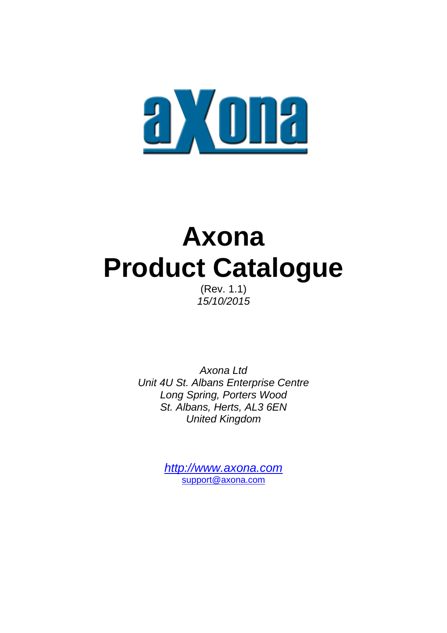

# **Axona Product Catalogue**

(Rev. 1.1) *15/10/2015*

*Axona Ltd Unit 4U St. Albans Enterprise Centre Long Spring, Porters Wood St. Albans, Herts, AL3 6EN United Kingdom*

> *[http://www.axona.com](http://www.axona.com/)* [support@axona.com](mailto:support@axona.com)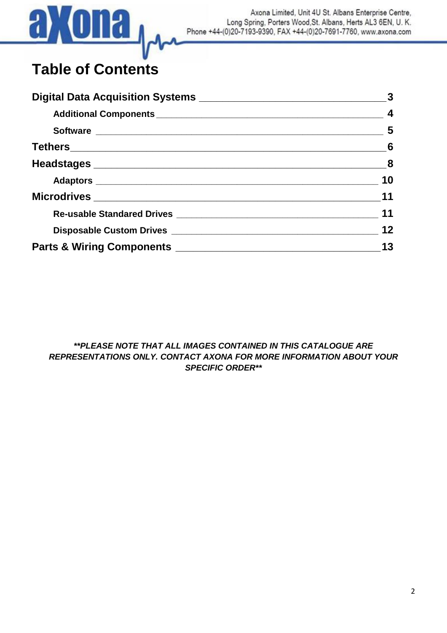

Axona Limited, Unit 4U St. Albans Enterprise Centre, Long Spring, Porters Wood, St. Albans, Herts AL3 6EN, U.K. Phone +44-(0)20-7193-9390, FAX +44-(0)20-7691-7760, www.axona.com

# **Table of Contents**

| $\sim$ 6                |
|-------------------------|
| $\overline{\mathbf{8}}$ |
| 10                      |
| 11                      |
| 11                      |
| 12                      |
| 13                      |

*\*\*PLEASE NOTE THAT ALL IMAGES CONTAINED IN THIS CATALOGUE ARE REPRESENTATIONS ONLY. CONTACT AXONA FOR MORE INFORMATION ABOUT YOUR SPECIFIC ORDER\*\**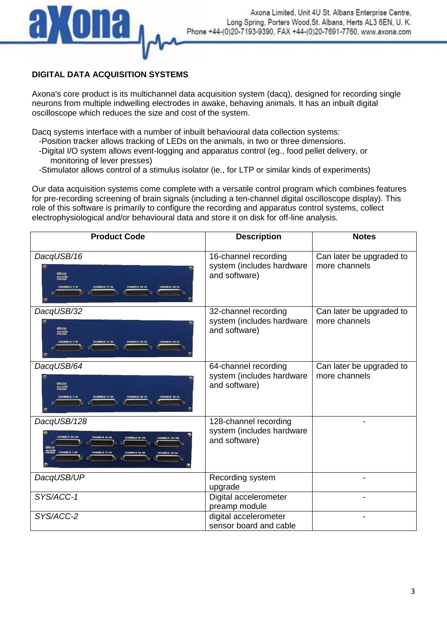

## **DIGITAL DATA ACQUISITION SYSTEMS**

Axona's core product is its multichannel data acquisition system (dacq), designed for recording single neurons from multiple indwelling electrodes in awake, behaving animals. It has an inbuilt digital oscilloscope which reduces the size and cost of the system.

Dacq systems interface with a number of inbuilt behavioural data collection systems:

- -Position tracker allows tracking of LEDs on the animals, in two or three dimensions.
- -Digital I/O system allows event-logging and apparatus control (eg., food pellet delivery, or monitoring of lever presses)
- -Stimulator allows control of a stimulus isolator (ie., for LTP or similar kinds of experiments)

Our data acquisition systems come complete with a versatile control program which combines features for pre-recording screening of brain signals (including a ten-channel digital oscilloscope display). This role of this software is primarily to configure the recording and apparatus control systems, collect electrophysiological and/or behavioural data and store it on disk for off-line analysis.

| <b>Product Code</b>                                                                                                                                                                                                                 | <b>Description</b>                                                  | <b>Notes</b>                              |
|-------------------------------------------------------------------------------------------------------------------------------------------------------------------------------------------------------------------------------------|---------------------------------------------------------------------|-------------------------------------------|
| DacqUSB/16<br><u>aXona</u><br><b>dacqUSB</b><br>.                                                                                                                                                                                   | 16-channel recording<br>system (includes hardware<br>and software)  | Can later be upgraded to<br>more channels |
| DacqUSB/32<br>aXona<br>dacqusB<br>PREAMP<br>.                                                                                                                                                                                       | 32-channel recording<br>system (includes hardware<br>and software)  | Can later be upgraded to<br>more channels |
| DacqUSB/64<br>aXona<br>dacqusB<br>PREAMP<br><b>CHANNELS 1-16</b>                                                                                                                                                                    | 64-channel recording<br>system (includes hardware<br>and software)  | Can later be upgraded to<br>more channels |
| DacqUSB/128<br><b>CHANNELS 65-80</b><br><b>CHANNELS 81-96</b><br><b>CHANNELS 113-126</b><br>of the month to<br>$\circ$<br>dacqUSB<br>PRF <b>AMP</b><br><b>CHANNELS 1-16</b><br>CHANNELS 17-32<br>CHANNELS 49-64<br>77777777777<br>. | 128-channel recording<br>system (includes hardware<br>and software) |                                           |
| DacqUSB/UP                                                                                                                                                                                                                          | Recording system<br>upgrade                                         |                                           |
| SYS/ACC-1                                                                                                                                                                                                                           | Digital accelerometer<br>preamp module                              |                                           |
| SYS/ACC-2                                                                                                                                                                                                                           | digital accelerometer<br>sensor board and cable                     |                                           |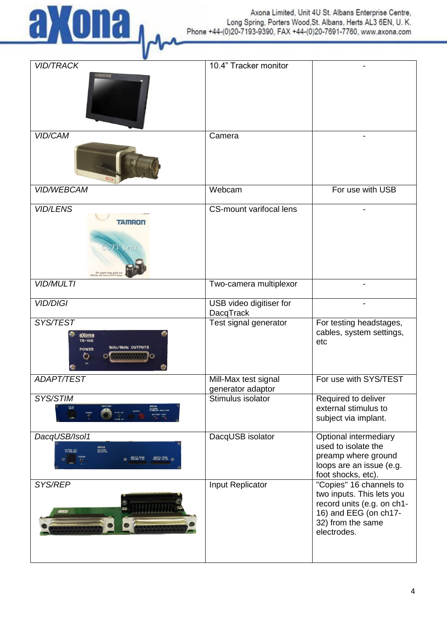

| <b>VID/TRACK</b><br><b>DEFENDER</b>                                                                             | 10.4" Tracker monitor                       |                                                                                                                                                 |
|-----------------------------------------------------------------------------------------------------------------|---------------------------------------------|-------------------------------------------------------------------------------------------------------------------------------------------------|
| <b>VID/CAM</b>                                                                                                  | Camera                                      |                                                                                                                                                 |
|                                                                                                                 |                                             |                                                                                                                                                 |
| VID/WEBCAM                                                                                                      | Webcam                                      | For use with USB                                                                                                                                |
| <b>VID/LENS</b><br><b>TAMRON</b><br><b>CCTV</b> Lens                                                            | <b>CS-mount varifocal lens</b>              |                                                                                                                                                 |
| <b>VID/MULTI</b>                                                                                                | Two-camera multiplexor                      |                                                                                                                                                 |
| <b>VID/DIGI</b>                                                                                                 | USB video digitiser for<br><b>DacqTrack</b> |                                                                                                                                                 |
| SYS/TEST<br><u>aXona</u><br>TR-106<br>1kHz/6kHz OUTPUTS<br><b>POWER</b><br>ల                                    | Test signal generator                       | For testing headstages,<br>cables, system settings,<br>etc                                                                                      |
| <b>ADAPT/TEST</b>                                                                                               | Mill-Max test signal<br>generator adaptor   | For use with SYS/TEST                                                                                                                           |
| SYS/STIM<br>PULSE<br>WPUT                                                                                       | Stimulus isolator                           | Required to deliver<br>external stimulus to<br>subject via implant.                                                                             |
| DacqUSB/Isol1<br><b>axona</b><br>decquas<br>isolator<br><b>POWER OUT</b><br><b>INPUTS FROM<br/>PREAMP 33-64</b> | DacqUSB isolator                            | Optional intermediary<br>used to isolate the<br>preamp where ground<br>loops are an issue (e.g.<br>foot shocks, etc).                           |
| SYS/REP<br>$\frac{1}{2}$<br><b>ERRUD</b>                                                                        | Input Replicator                            | "Copies" 16 channels to<br>two inputs. This lets you<br>record units (e.g. on ch1-<br>16) and EEG (on ch17-<br>32) from the same<br>electrodes. |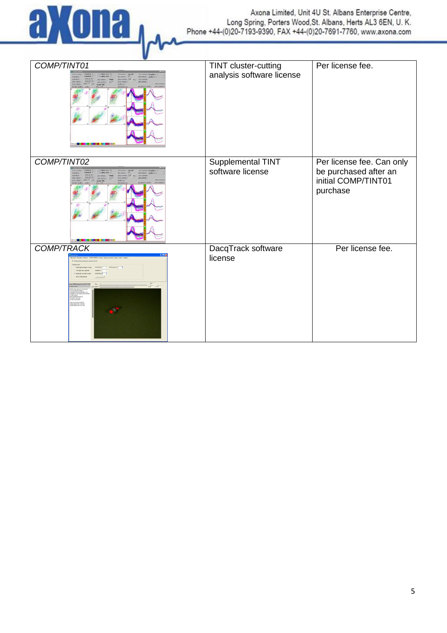

| COMP/TINT01<br>Show 59 Help                                                                   | TINT cluster-cutting<br>analysis software license | Per license fee.                                                                      |
|-----------------------------------------------------------------------------------------------|---------------------------------------------------|---------------------------------------------------------------------------------------|
| COMP/TINT02                                                                                   | Supplemental TINT<br>software license             | Per license fee. Can only<br>be purchased after an<br>initial COMP/TINT01<br>purchase |
| <b>COMP/TRACK</b><br>$\begin{array}{c c}\n\hline\n\hline\n\text{F0} & \text{F0}\n\end{array}$ | DacqTrack software<br>license                     | Per license fee.                                                                      |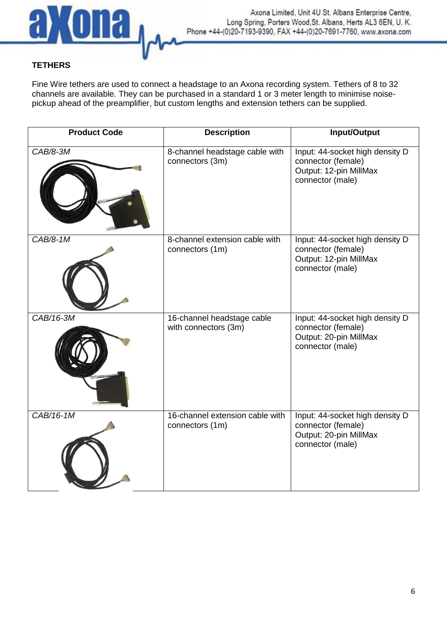

## **TETHERS**

Fine Wire tethers are used to connect a headstage to an Axona recording system. Tethers of 8 to 32 channels are available. They can be purchased in a standard 1 or 3 meter length to minimise noisepickup ahead of the preamplifier, but custom lengths and extension tethers can be supplied.

| <b>Product Code</b> | <b>Description</b>                                 | Input/Output                                                                                        |
|---------------------|----------------------------------------------------|-----------------------------------------------------------------------------------------------------|
| CAB/8-3M            | 8-channel headstage cable with<br>connectors (3m)  | Input: 44-socket high density D<br>connector (female)<br>Output: 12-pin MillMax<br>connector (male) |
| $CAB/8-1M$          | 8-channel extension cable with<br>connectors (1m)  | Input: 44-socket high density D<br>connector (female)<br>Output: 12-pin MillMax<br>connector (male) |
| CAB/16-3M           | 16-channel headstage cable<br>with connectors (3m) | Input: 44-socket high density D<br>connector (female)<br>Output: 20-pin MillMax<br>connector (male) |
| CAB/16-1M           | 16-channel extension cable with<br>connectors (1m) | Input: 44-socket high density D<br>connector (female)<br>Output: 20-pin MillMax<br>connector (male) |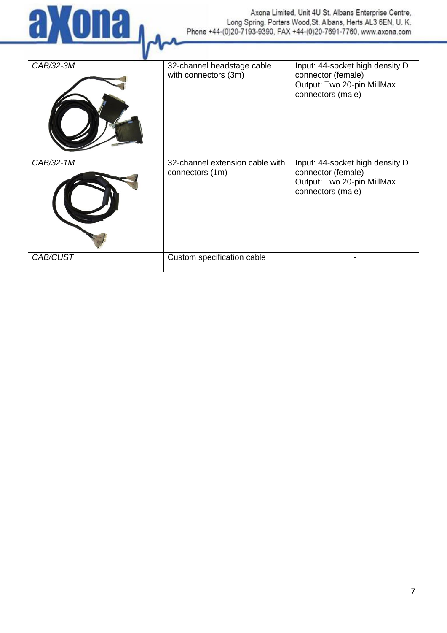

| CAB/32-3M | 32-channel headstage cable<br>with connectors (3m) | Input: 44-socket high density D<br>connector (female)<br>Output: Two 20-pin MillMax<br>connectors (male) |
|-----------|----------------------------------------------------|----------------------------------------------------------------------------------------------------------|
| CAB/32-1M | 32-channel extension cable with<br>connectors (1m) | Input: 44-socket high density D<br>connector (female)<br>Output: Two 20-pin MillMax<br>connectors (male) |
| CAB/CUST  | Custom specification cable                         |                                                                                                          |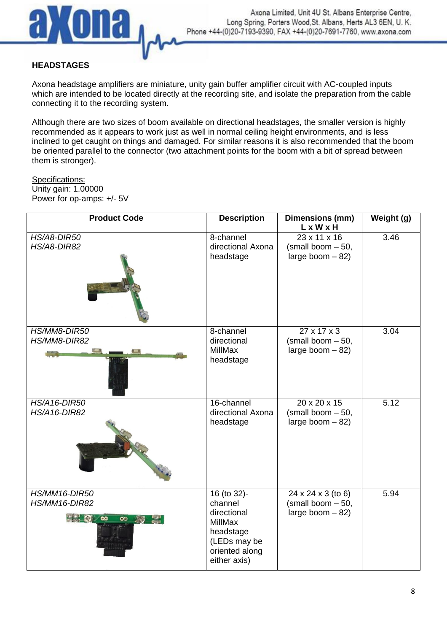

#### **HEADSTAGES**

Axona headstage amplifiers are miniature, unity gain buffer amplifier circuit with AC-coupled inputs which are intended to be located directly at the recording site, and isolate the preparation from the cable connecting it to the recording system.

Although there are two sizes of boom available on directional headstages, the smaller version is highly recommended as it appears to work just as well in normal ceiling height environments, and is less inclined to get caught on things and damaged. For similar reasons it is also recommended that the boom be oriented parallel to the connector (two attachment points for the boom with a bit of spread between them is stronger).

#### Specifications:

Unity gain: 1.00000 Power for op-amps: +/- 5V

| <b>Product Code</b>                                                        | <b>Description</b>                                                                                              | Dimensions (mm)<br>LxWxH                                            | Weight (g) |
|----------------------------------------------------------------------------|-----------------------------------------------------------------------------------------------------------------|---------------------------------------------------------------------|------------|
| <b>HS/A8-DIR50</b><br>HS/A8-DIR82                                          | 8-channel<br>directional Axona<br>headstage                                                                     | $23 \times 11 \times 16$<br>(small boom - 50,<br>large boom $-82$ ) | 3.46       |
| HS/MM8-DIR50<br>HS/MM8-DIR82                                               | 8-channel<br>directional<br><b>MillMax</b><br>headstage                                                         | 27 x 17 x 3<br>(small boom - 50,<br>large boom $-82$ )              | 3.04       |
| <b>HS/A16-DIR50</b><br><b>HS/A16-DIR82</b>                                 | 16-channel<br>directional Axona<br>headstage                                                                    | 20 x 20 x 15<br>(small boom - 50,<br>large boom $-82$ )             | 5.12       |
| HS/MM16-DIR50<br>HS/MM16-DIR82<br>$\mathbb{R}^{n}$<br>$\infty$<br>$\infty$ | 16 (to 32)-<br>channel<br>directional<br>MillMax<br>headstage<br>(LEDs may be<br>oriented along<br>either axis) | 24 x 24 x 3 (to 6)<br>(small boom - 50,<br>large boom $-82$ )       | 5.94       |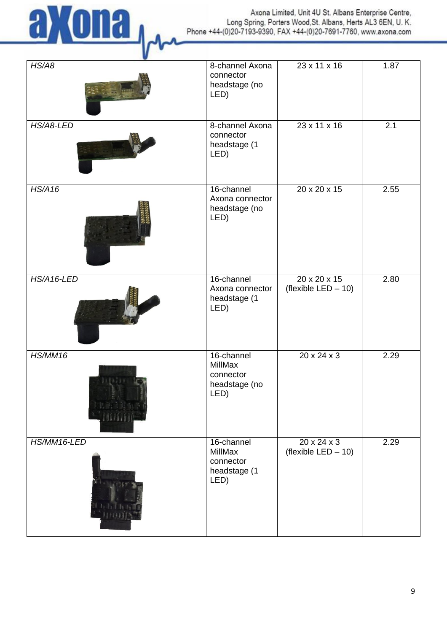

Axona Limited, Unit 4U St. Albans Enterprise Centre, Long Spring, Porters Wood, St. Albans, Herts AL3 6EN, U. K.<br>Phone +44-(0)20-7193-9390, FAX +44-(0)20-7691-7760, www.axona.com

| HS/AB       | 8-channel Axona<br>connector<br>headstage (no<br>LED)       | $23 \times 11 \times 16$                           | 1.87 |
|-------------|-------------------------------------------------------------|----------------------------------------------------|------|
| HS/A8-LED   | 8-channel Axona<br>connector<br>headstage (1<br>LED)        | $23 \times 11 \times 16$                           | 2.1  |
| HS/A16      | 16-channel<br>Axona connector<br>headstage (no<br>LED)      | $20 \times 20 \times 15$                           | 2.55 |
| HS/A16-LED  | 16-channel<br>Axona connector<br>headstage (1<br>LED)       | $20 \times 20 \times 15$<br>(flexible $LED - 10$ ) | 2.80 |
| HS/MM16     | 16-channel<br>MillMax<br>connector<br>headstage (no<br>LED) | $20 \times 24 \times 3$                            | 2.29 |
| HS/MM16-LED | 16-channel<br>MillMax<br>connector<br>headstage (1<br>LED)  | 20 x 24 x 3<br>(flexible $LED - 10$ )              | 2.29 |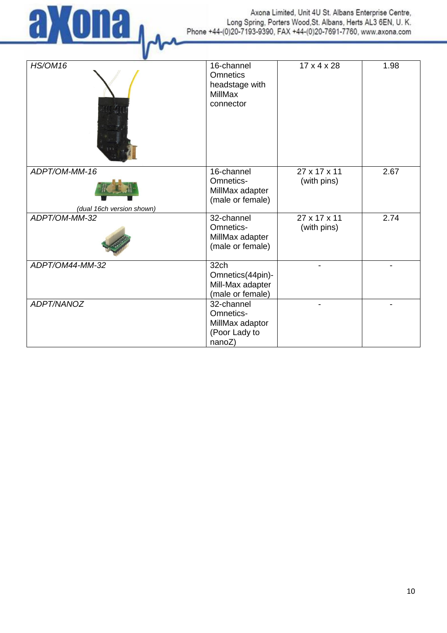

| <b>HS/OM16</b>                             | 16-channel<br><b>Omnetics</b><br>headstage with<br>MillMax<br>connector | $17 \times 4 \times 28$     | 1.98 |
|--------------------------------------------|-------------------------------------------------------------------------|-----------------------------|------|
| ADPT/OM-MM-16<br>(dual 16ch version shown) | 16-channel<br>Omnetics-<br>MillMax adapter<br>(male or female)          | 27 x 17 x 11<br>(with pins) | 2.67 |
| ADPT/OM-MM-32                              | 32-channel<br>Omnetics-<br>MillMax adapter<br>(male or female)          | 27 x 17 x 11<br>(with pins) | 2.74 |
| ADPT/OM44-MM-32                            | 32ch<br>Omnetics(44pin)-<br>Mill-Max adapter<br>(male or female)        |                             |      |
| ADPT/NANOZ                                 | 32-channel<br>Omnetics-<br>MillMax adaptor<br>(Poor Lady to<br>nanoZ)   |                             |      |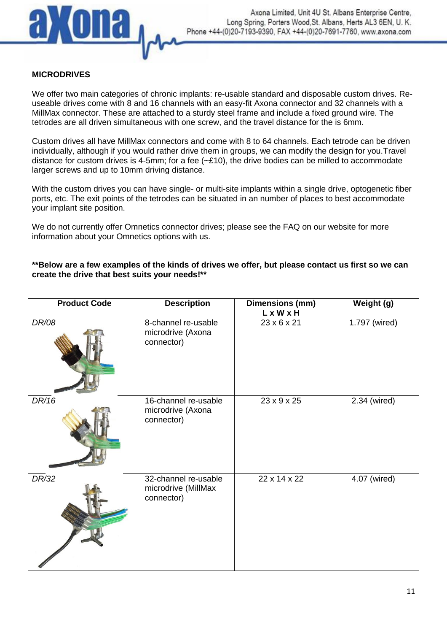

#### **MICRODRIVES**

We offer two main categories of chronic implants: re-usable standard and disposable custom drives. Reuseable drives come with 8 and 16 channels with an easy-fit Axona connector and 32 channels with a MillMax connector. These are attached to a sturdy steel frame and include a fixed ground wire. The tetrodes are all driven simultaneous with one screw, and the travel distance for the is 6mm.

Custom drives all have MillMax connectors and come with 8 to 64 channels. Each tetrode can be driven individually, although if you would rather drive them in groups, we can modify the design for you.Travel distance for custom drives is 4-5mm; for a fee  $(-E10)$ , the drive bodies can be milled to accommodate larger screws and up to 10mm driving distance.

With the custom drives you can have single- or multi-site implants within a single drive, optogenetic fiber ports, etc. The exit points of the tetrodes can be situated in an number of places to best accommodate your implant site position.

We do not currently offer Omnetics connector drives; please see the FAQ on our website for more information about your Omnetics options with us.

#### **\*\*Below are a few examples of the kinds of drives we offer, but please contact us first so we can create the drive that best suits your needs!\*\***

| <b>Product Code</b> | <b>Description</b>                                        | Dimensions (mm)<br>LxWxH | Weight (g)    |
|---------------------|-----------------------------------------------------------|--------------------------|---------------|
| DR/08               | 8-channel re-usable<br>microdrive (Axona<br>connector)    | 23 x 6 x 21              | 1.797 (wired) |
| DR/16               | 16-channel re-usable<br>microdrive (Axona<br>connector)   | 23 x 9 x 25              | 2.34 (wired)  |
| DR/32               | 32-channel re-usable<br>microdrive (MillMax<br>connector) | 22 x 14 x 22             | 4.07 (wired)  |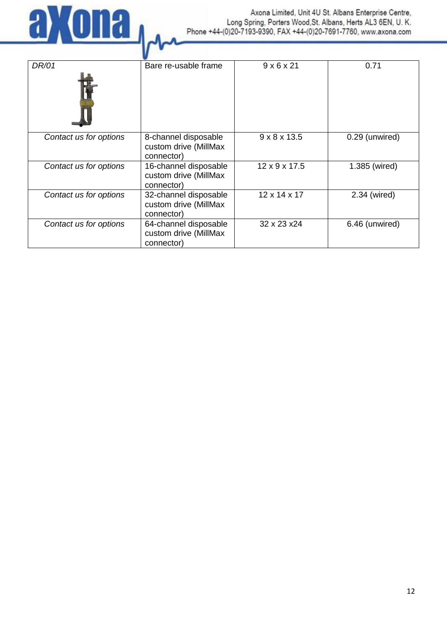

Axona Limited, Unit 4U St. Albans Enterprise Centre, Long Spring, Porters Wood, St. Albans, Herts AL3 6EN, U. K. Phone +44-(0)20-7193-9390, FAX +44-(0)20-7691-7760, www.axona.com

| DR/01                  | Bare re-usable frame                                         | $9 \times 6 \times 21$    | 0.71           |
|------------------------|--------------------------------------------------------------|---------------------------|----------------|
| Contact us for options | 8-channel disposable<br>custom drive (MillMax<br>connector)  | $9 \times 8 \times 13.5$  | 0.29 (unwired) |
| Contact us for options | 16-channel disposable<br>custom drive (MillMax<br>connector) | $12 \times 9 \times 17.5$ | 1.385 (wired)  |
| Contact us for options | 32-channel disposable<br>custom drive (MillMax<br>connector) | $12 \times 14 \times 17$  | 2.34 (wired)   |
| Contact us for options | 64-channel disposable<br>custom drive (MillMax<br>connector) | 32 x 23 x 24              | 6.46 (unwired) |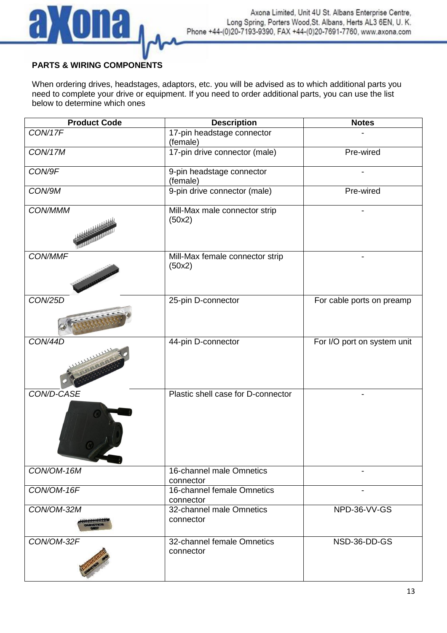

## **PARTS & WIRING COMPONENTS**

When ordering drives, headstages, adaptors, etc. you will be advised as to which additional parts you need to complete your drive or equipment. If you need to order additional parts, you can use the list below to determine which ones

| <b>Product Code</b>         | <b>Description</b>                        | <b>Notes</b>                |
|-----------------------------|-------------------------------------------|-----------------------------|
| CON/17F                     | 17-pin headstage connector<br>(female)    |                             |
| <b>CON/17M</b>              | 17-pin drive connector (male)             | Pre-wired                   |
| CON/9F                      | 9-pin headstage connector<br>(female)     |                             |
| CON/9M                      | 9-pin drive connector (male)              | Pre-wired                   |
| <b>CON/MMM</b>              | Mill-Max male connector strip<br>(50x2)   |                             |
| CON/MMF                     | Mill-Max female connector strip<br>(50x2) |                             |
| <b>CON/25D</b>              | 25-pin D-connector                        | For cable ports on preamp   |
| <b>CON/44D</b>              | 44-pin D-connector                        | For I/O port on system unit |
| CON/D-CASE                  | Plastic shell case for D-connector        |                             |
| CON/OM-16M                  | 16-channel male Omnetics<br>connector     |                             |
| CON/OM-16F                  | 16-channel female Omnetics<br>connector   |                             |
| CON/OM-32M<br>************* | 32-channel male Omnetics<br>connector     | NPD-36-VV-GS                |
| CON/OM-32F                  | 32-channel female Omnetics<br>connector   | NSD-36-DD-GS                |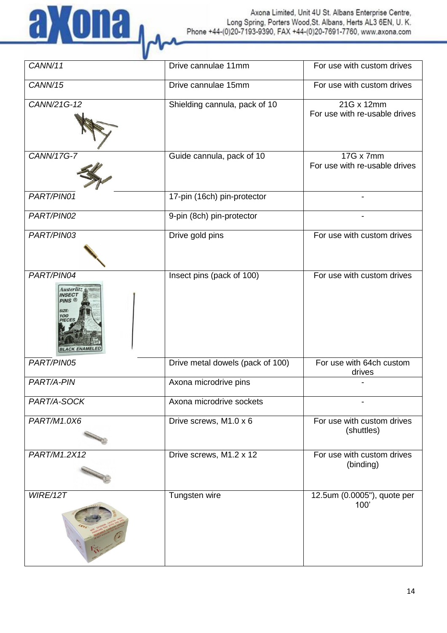

| $\overline{CANN}/11$                                                                            | Drive cannulae 11mm              | For use with custom drives                  |
|-------------------------------------------------------------------------------------------------|----------------------------------|---------------------------------------------|
| CANN/15                                                                                         | Drive cannulae 15mm              | For use with custom drives                  |
| CANN/21G-12                                                                                     | Shielding cannula, pack of 10    | 21G x 12mm<br>For use with re-usable drives |
| CANN/17G-7                                                                                      | Guide cannula, pack of 10        | 17G x 7mm<br>For use with re-usable drives  |
| PART/PIN01                                                                                      | 17-pin (16ch) pin-protector      |                                             |
| PART/PIN02                                                                                      | 9-pin (8ch) pin-protector        |                                             |
| PART/PIN03                                                                                      | Drive gold pins                  | For use with custom drives                  |
| PART/PIN04<br><b>Austerlitz</b><br><b>INSECT</b><br><b>PINS</b><br>SIZE:<br>100<br><b>PIFCI</b> | Insect pins (pack of 100)        | For use with custom drives                  |
| PART/PIN05                                                                                      | Drive metal dowels (pack of 100) | For use with 64ch custom<br>drives          |
| PART/A-PIN                                                                                      | Axona microdrive pins            |                                             |
| PART/A-SOCK                                                                                     | Axona microdrive sockets         |                                             |
| PART/M1.0X6                                                                                     | Drive screws, M1.0 x 6           | For use with custom drives<br>(shuttles)    |
| PART/M1.2X12                                                                                    | Drive screws, M1.2 x 12          | For use with custom drives<br>(binding)     |
| WIRE/12T                                                                                        | Tungsten wire                    | 12.5um (0.0005"), quote per<br>100'         |